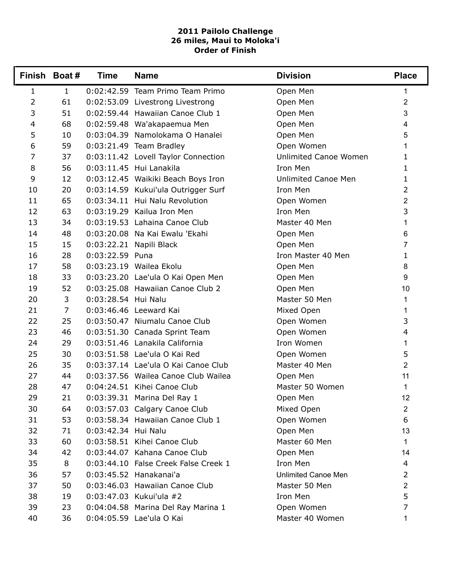## **2011 Pailolo Challenge 26 miles, Maui to Moloka'i Order of Finish**

|                | Finish Boat#   | <b>Time</b>         | <b>Name</b>                          | <b>Division</b>            | <b>Place</b>   |
|----------------|----------------|---------------------|--------------------------------------|----------------------------|----------------|
| $\mathbf{1}$   | $\mathbf{1}$   |                     | 0:02:42.59 Team Primo Team Primo     | Open Men                   | 1              |
| $\overline{2}$ | 61             |                     | 0:02:53.09 Livestrong Livestrong     | Open Men                   | $\overline{2}$ |
| 3              | 51             |                     | 0:02:59.44 Hawaiian Canoe Club 1     | Open Men                   | 3              |
| 4              | 68             |                     | 0:02:59.48 Wa'akapaemua Men          | Open Men                   | $\overline{4}$ |
| 5              | 10             |                     | 0:03:04.39 Namolokama O Hanalei      | Open Men                   | 5              |
| 6              | 59             |                     | 0:03:21.49 Team Bradley              | Open Women                 | 1              |
| 7              | 37             |                     | 0:03:11.42 Lovell Taylor Connection  | Unlimited Canoe Women      | 1              |
| 8              | 56             |                     | 0:03:11.45 Hui Lanakila              | Iron Men                   | 1              |
| 9              | 12             |                     | 0:03:12.45 Waikiki Beach Boys Iron   | <b>Unlimited Canoe Men</b> | 1              |
| 10             | 20             |                     | 0:03:14.59 Kukui'ula Outrigger Surf  | Iron Men                   | $\overline{2}$ |
| 11             | 65             |                     | 0:03:34.11 Hui Nalu Revolution       | Open Women                 | 2              |
| 12             | 63             |                     | 0:03:19.29 Kailua Iron Men           | Iron Men                   | 3              |
| 13             | 34             |                     | 0:03:19.53 Lahaina Canoe Club        | Master 40 Men              | 1              |
| 14             | 48             |                     | 0:03:20.08 Na Kai Ewalu 'Ekahi       | Open Men                   | 6              |
| 15             | 15             |                     | 0:03:22.21 Napili Black              | Open Men                   | 7              |
| 16             | 28             | 0:03:22.59 Puna     |                                      | Iron Master 40 Men         | 1              |
| 17             | 58             |                     | 0:03:23.19 Wailea Ekolu              | Open Men                   | 8              |
| 18             | 33             |                     | 0:03:23.20 Lae'ula O Kai Open Men    | Open Men                   | 9              |
| 19             | 52             |                     | 0:03:25.08 Hawaiian Canoe Club 2     | Open Men                   | 10             |
| 20             | 3              | 0:03:28.54 Hui Nalu |                                      | Master 50 Men              | 1              |
| 21             | $\overline{7}$ |                     | 0:03:46.46 Leeward Kai               | Mixed Open                 | 1              |
| 22             | 25             |                     | 0:03:50.47 Niumalu Canoe Club        | Open Women                 | 3              |
| 23             | 46             |                     | 0:03:51.30 Canada Sprint Team        | Open Women                 | 4              |
| 24             | 29             |                     | 0:03:51.46 Lanakila California       | Iron Women                 | 1              |
| 25             | 30             |                     | 0:03:51.58 Lae'ula O Kai Red         | Open Women                 | 5              |
| 26             | 35             |                     | 0:03:37.14 Lae'ula O Kai Canoe Club  | Master 40 Men              | $\overline{2}$ |
| 27             | 44             |                     | 0:03:37.56 Wailea Canoe Club Wailea  | Open Men                   | 11             |
| 28             | 47             |                     | 0:04:24.51 Kihei Canoe Club          | Master 50 Women            | 1              |
| 29             | 21             |                     | 0:03:39.31 Marina Del Ray 1          | Open Men                   | 12             |
| 30             | 64             |                     | 0:03:57.03 Calgary Canoe Club        | Mixed Open                 | $\overline{2}$ |
| 31             | 53             |                     | 0:03:58.34 Hawaiian Canoe Club 1     | Open Women                 | 6              |
| 32             | 71             | 0:03:42.34 Hui Nalu |                                      | Open Men                   | 13             |
| 33             | 60             |                     | 0:03:58.51 Kihei Canoe Club          | Master 60 Men              | 1              |
| 34             | 42             |                     | 0:03:44.07 Kahana Canoe Club         | Open Men                   | 14             |
| 35             | 8              |                     | 0:03:44.10 False Creek False Creek 1 | Iron Men                   | 4              |
| 36             | 57             |                     | 0:03:45.52 Hanakanai'a               | <b>Unlimited Canoe Men</b> | $\overline{2}$ |
| 37             | 50             |                     | 0:03:46.03 Hawaiian Canoe Club       | Master 50 Men              | $\overline{2}$ |
| 38             | 19             |                     | 0:03:47.03 Kukui'ula #2              | Iron Men                   | 5              |
| 39             | 23             |                     | 0:04:04.58 Marina Del Ray Marina 1   | Open Women                 | 7              |
| 40             | 36             |                     | 0:04:05.59 Lae'ula O Kai             | Master 40 Women            | 1              |